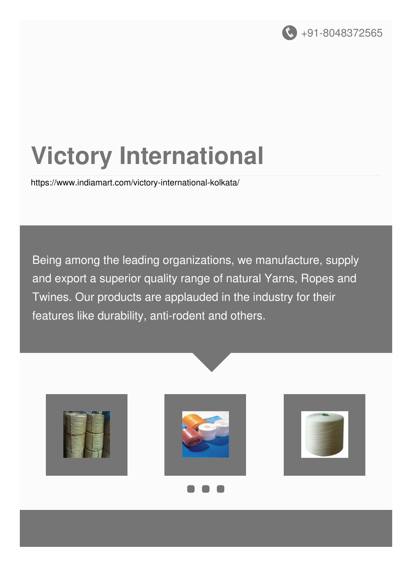

# **Victory International**

<https://www.indiamart.com/victory-international-kolkata/>

Being among the leading organizations, we manufacture, supply and export a superior quality range of natural Yarns, Ropes and Twines. Our products are applauded in the industry for their features like durability, anti-rodent and others.

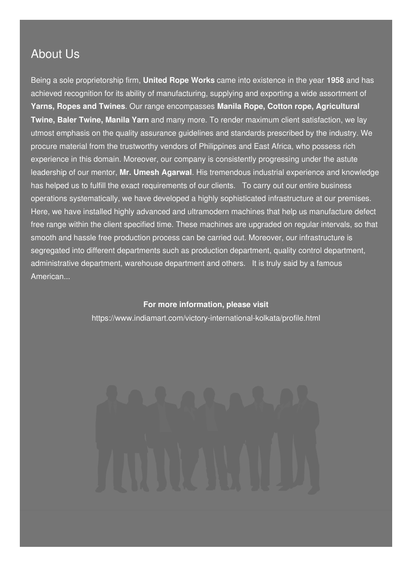#### About Us

Being a sole proprietorship firm, **United Rope Works** came into existence in the year **1958** and has achieved recognition for its ability of manufacturing, supplying and exporting a wide assortment of **Yarns, Ropes and Twines**. Our range encompasses **Manila Rope, Cotton rope, Agricultural Twine, Baler Twine, Manila Yarn** and many more. To render maximum client satisfaction, we lay utmost emphasis on the quality assurance guidelines and standards prescribed by the industry. We procure material from the trustworthy vendors of Philippines and East Africa, who possess rich experience in this domain. Moreover, our company is consistently progressing under the astute leadership of our mentor, **Mr. Umesh Agarwal**. His tremendous industrial experience and knowledge has helped us to fulfill the exact requirements of our clients. To carry out our entire business operations systematically, we have developed a highly sophisticated infrastructure at our premises. Here, we have installed highly advanced and ultramodern machines that help us manufacture defect free range within the client specified time. These machines are upgraded on regular intervals, so that smooth and hassle free production process can be carried out. Moreover, our infrastructure is segregated into different departments such as production department, quality control department, administrative department, warehouse department and others. It is truly said by a famous American...

#### **For more information, please visit**

<https://www.indiamart.com/victory-international-kolkata/profile.html>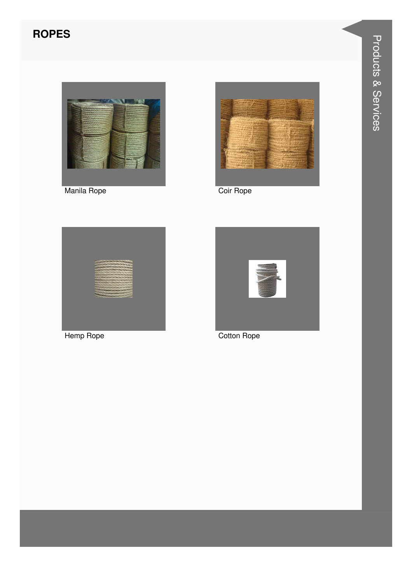### **ROPES**



Manila Rope



Coir Rope



Hemp Rope



Cotton Rope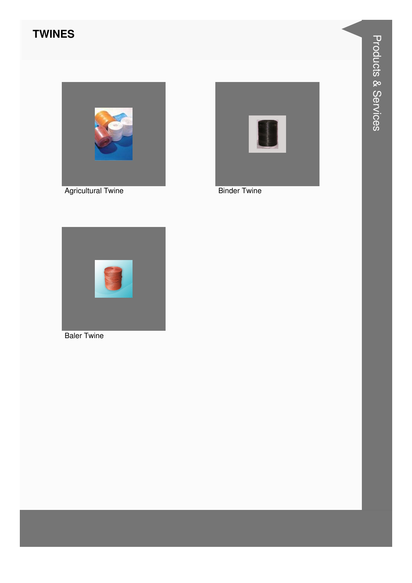#### **TWINES**







**Binder Twine** 



**Baler Twine**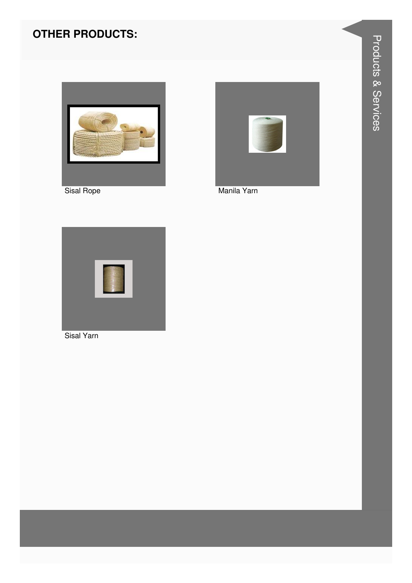#### **OTHER PRODUCTS:**



Sisal Rope



Manila Yarn



Sisal Yarn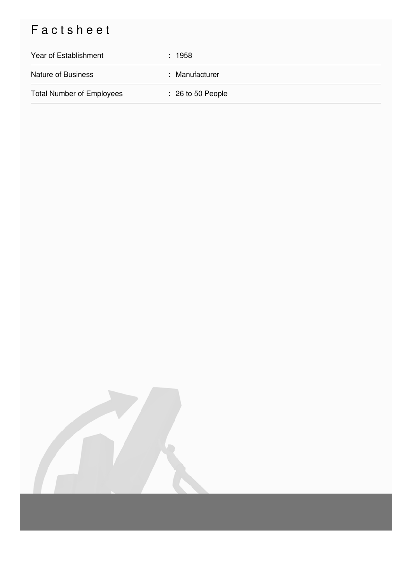## Factsheet

| Year of Establishment            | : 1958                       |
|----------------------------------|------------------------------|
| <b>Nature of Business</b>        | : Manufacturer               |
| <b>Total Number of Employees</b> | $\therefore$ 26 to 50 People |